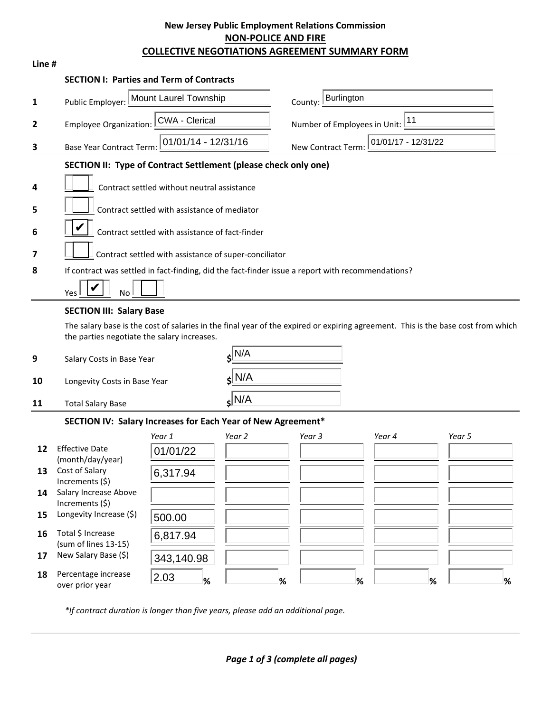## **New Jersey Public Employment Relations Commission NON-POLICE AND FIRE COLLECTIVE NEGOTIATIONS AGREEMENT SUMMARY FORM**

| Line #       |                                                                                                                                  |                                                       |                    |                                           |                                              |           |  |
|--------------|----------------------------------------------------------------------------------------------------------------------------------|-------------------------------------------------------|--------------------|-------------------------------------------|----------------------------------------------|-----------|--|
|              | <b>SECTION I: Parties and Term of Contracts</b>                                                                                  |                                                       |                    |                                           |                                              |           |  |
| 1            | Public Employer:                                                                                                                 | Mount Laurel Township                                 |                    |                                           | <b>Burlington</b><br>County:                 |           |  |
| $\mathbf{2}$ | <b>Employee Organization:</b>                                                                                                    | <b>CWA - Clerical</b>                                 |                    |                                           | $\boxed{11}$<br>Number of Employees in Unit: |           |  |
| 3            | <b>Base Year Contract Term:</b>                                                                                                  | 01/01/14 - 12/31/16                                   |                    | 01/01/17 - 12/31/22<br>New Contract Term: |                                              |           |  |
|              | SECTION II: Type of Contract Settlement (please check only one)                                                                  |                                                       |                    |                                           |                                              |           |  |
| 4            |                                                                                                                                  | Contract settled without neutral assistance           |                    |                                           |                                              |           |  |
|              |                                                                                                                                  |                                                       |                    |                                           |                                              |           |  |
| 5            |                                                                                                                                  | Contract settled with assistance of mediator          |                    |                                           |                                              |           |  |
| 6            |                                                                                                                                  | Contract settled with assistance of fact-finder       |                    |                                           |                                              |           |  |
| 7            |                                                                                                                                  | Contract settled with assistance of super-conciliator |                    |                                           |                                              |           |  |
| 8            | If contract was settled in fact-finding, did the fact-finder issue a report with recommendations?                                |                                                       |                    |                                           |                                              |           |  |
|              | No<br>Yes                                                                                                                        |                                                       |                    |                                           |                                              |           |  |
|              | <b>SECTION III: Salary Base</b>                                                                                                  |                                                       |                    |                                           |                                              |           |  |
|              | The salary base is the cost of salaries in the final year of the expired or expiring agreement. This is the base cost from which |                                                       |                    |                                           |                                              |           |  |
|              | the parties negotiate the salary increases.                                                                                      |                                                       |                    |                                           |                                              |           |  |
| 9            | Salary Costs in Base Year                                                                                                        |                                                       | $s$ N/A            |                                           |                                              |           |  |
| 10           |                                                                                                                                  | $s$ N/A<br>Longevity Costs in Base Year               |                    |                                           |                                              |           |  |
| 11           | <b>Total Salary Base</b>                                                                                                         |                                                       | $s$ <sub>N/A</sub> |                                           |                                              |           |  |
|              | SECTION IV: Salary Increases for Each Year of New Agreement*                                                                     |                                                       |                    |                                           |                                              |           |  |
|              |                                                                                                                                  | Year 1                                                | Year 2             | Year 3                                    | Year 4                                       | Year 5    |  |
| 12           | <b>Effective Date</b><br>(month/day/year)                                                                                        | 01/01/22                                              |                    |                                           |                                              |           |  |
| 13           | Cost of Salary<br>Increments (\$)                                                                                                | 6,317.94                                              |                    |                                           |                                              |           |  |
| 14           | Salary Increase Above                                                                                                            |                                                       |                    |                                           |                                              |           |  |
| 15           | Increments (\$)<br>Longevity Increase (\$)                                                                                       | 500.00                                                |                    |                                           |                                              |           |  |
| 16           | Total \$ Increase                                                                                                                | 6,817.94                                              |                    |                                           |                                              |           |  |
| 17           | (sum of lines 13-15)<br>New Salary Base (\$)                                                                                     |                                                       |                    |                                           |                                              |           |  |
| 18           | Percentage increase                                                                                                              | 343,140.98<br>2.03                                    |                    |                                           |                                              |           |  |
|              | over prior year                                                                                                                  | %                                                     | $\%$               |                                           | $\%$                                         | $\%$<br>% |  |

*\*If contract duration is longer than five years, please add an additional page.*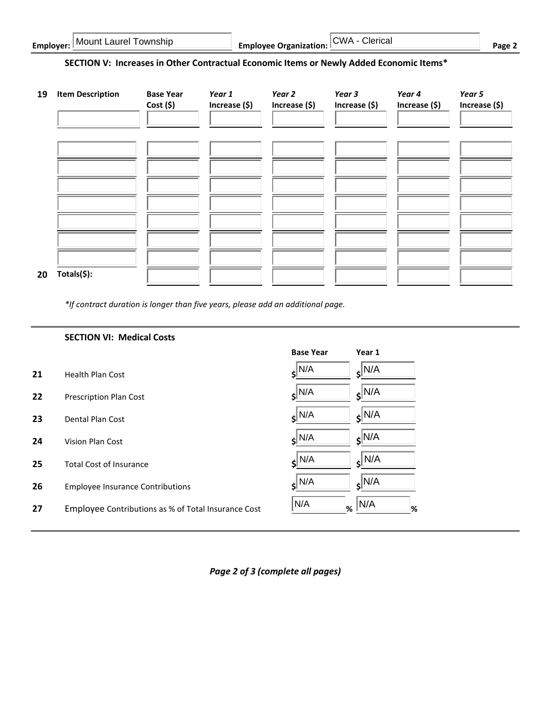| I Mount Laurel Township<br>Emplover: | <b>Employee Organization:</b> $\sqrt{\text{CWA}}$<br>Clerical | Page |
|--------------------------------------|---------------------------------------------------------------|------|
|--------------------------------------|---------------------------------------------------------------|------|

## **SECTION V: Increases in Other Contractual Economic Items or Newly Added Economic Items\***

| 19 | <b>Item Description</b> | <b>Base Year</b><br>$Cost($ \$) | Year 1<br>Increase (\$) | Year 2<br>Increase (\$) | Year 3<br>Increase (\$) | Year 4<br>Increase (\$) | Year 5<br>Increase (\$) |
|----|-------------------------|---------------------------------|-------------------------|-------------------------|-------------------------|-------------------------|-------------------------|
|    |                         |                                 |                         |                         |                         |                         |                         |
|    |                         |                                 |                         |                         |                         |                         |                         |
|    |                         |                                 |                         |                         |                         |                         |                         |
| 20 | Totals(\$):             |                                 |                         |                         |                         |                         |                         |

*\*If contract duration is longer than five years, please add an additional page.*

|    | <b>SECTION VI: Medical Costs</b>                    |                    |                    |
|----|-----------------------------------------------------|--------------------|--------------------|
|    |                                                     | <b>Base Year</b>   | Year 1             |
| 21 | <b>Health Plan Cost</b>                             | $s$ <sup>N/A</sup> | $s$ <sub>N/A</sub> |
| 22 | <b>Prescription Plan Cost</b>                       | $s^{\vert N/A}$    | $s^{N/A}$          |
| 23 | Dental Plan Cost                                    | $s^{\vert N/A}$    | $s^{N/A}$          |
| 24 | Vision Plan Cost                                    | $\varepsilon$ N/A  | $s^{\vert N/A}$    |
| 25 | <b>Total Cost of Insurance</b>                      | $\epsilon$ N/A     | $s^{\vert N/A}$    |
| 26 | <b>Employee Insurance Contributions</b>             | $\epsilon$ N/A     | $\epsilon$ N/A     |
| 27 | Employee Contributions as % of Total Insurance Cost | N/A<br>%           | N/A<br>%           |

*Page 2 of 3 (complete all pages)*